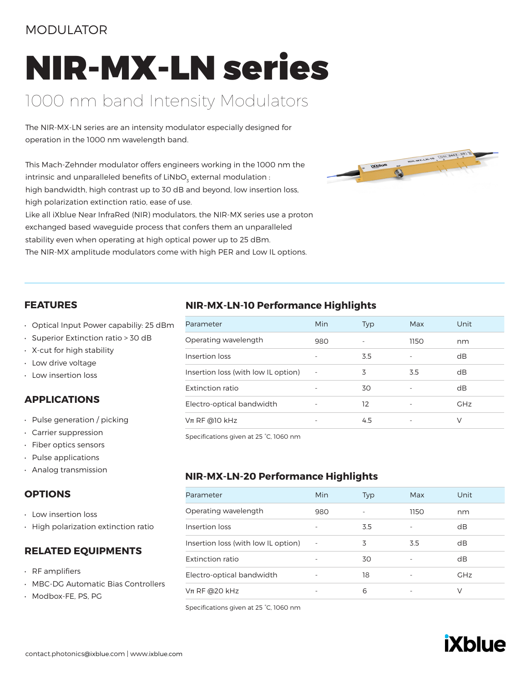### MODULATOR

# NIR-MX-LN series

# 1000 nm band Intensity Modulators

The NIR-MX-LN series are an intensity modulator especially designed for operation in the 1000 nm wavelength band.

This Mach-Zehnder modulator offers engineers working in the 1000 nm the intrinsic and unparalleled benefits of LiNbO $_{\textrm{\tiny{3}}}$  external modulation : high bandwidth, high contrast up to 30 dB and beyond, low insertion loss, high polarization extinction ratio, ease of use. Like all iXblue Near InfraRed (NIR) modulators, the NIR-MX series use a proton exchanged based waveguide process that confers them an unparalleled

stability even when operating at high optical power up to 25 dBm. The NIR-MX amplitude modulators come with high PER and Low IL options.



#### **FEATURES**

- Optical Input Power capabiliy: 25 dBm
- Superior Extinction ratio > 30 dB
- X-cut for high stability
- Low drive voltage
- Low insertion loss

### **APPLICATIONS**

- Pulse generation / picking
- Carrier suppression
- Fiber optics sensors
- Pulse applications
- Analog transmission

### **OPTIONS**

- Low insertion loss
- High polarization extinction ratio

#### **RELATED EQUIPMENTS**

- RF amplifiers
- MBC-DG Automatic Bias Controllers
- Modbox-FE, PS, PG

### **NIR-MX-LN-10 Performance Highlights**

| Parameter                           | Min | <b>Typ</b> | Max  | Unit       |
|-------------------------------------|-----|------------|------|------------|
| Operating wavelength                | 980 |            | 1150 | nm         |
| Insertion loss                      |     | 3.5        |      | dB         |
| Insertion loss (with low IL option) |     | 3          | 3.5  | dB         |
| Extinction ratio                    |     | 30         |      | dB         |
| Electro-optical bandwidth           |     | 12         |      | <b>GHz</b> |
| $Vπ$ RF @10 kHz                     |     | 4.5        |      | V          |

Specifications given at 25 °C, 1060 nm

### **NIR-MX-LN-20 Performance Highlights**

| Parameter                           | Min    | <b>Typ</b> | Max  | Unit       |
|-------------------------------------|--------|------------|------|------------|
| Operating wavelength                | 980    |            | 1150 | nm         |
| Insertion loss                      |        | 3.5        |      | dB         |
| Insertion loss (with low IL option) | $\sim$ | 3          | 3.5  | dB         |
| Extinction ratio                    |        | 30         |      | dB         |
| Electro-optical bandwidth           |        | 18         |      | <b>GHz</b> |
| $V$ π RF @20 kHz                    |        | 6          |      | V          |

Specifications given at 25 °C, 1060 nm

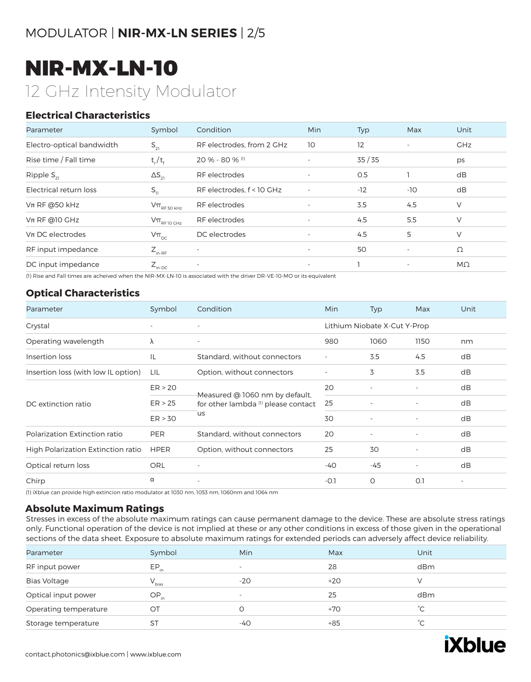# MODULATOR | **NIR-MX-LN SERIES** | 2/5

# NIR-MX-LN-10 12 GHz Intensity Modulator

### **Electrical Characteristics**

| Parameter                 | Symbol                                                                              | Condition                      | <b>Min</b>               | <b>Typ</b> | Max                      | Unit       |
|---------------------------|-------------------------------------------------------------------------------------|--------------------------------|--------------------------|------------|--------------------------|------------|
| Electro-optical bandwidth | $S_{21}$                                                                            | RF electrodes, from 2 GHz      | 10                       | 12         | $\overline{\phantom{a}}$ | <b>GHz</b> |
| Rise time / Fall time     | $t_{r}/t_{f}$                                                                       | $20 \% - 80 \%$ <sup>(1)</sup> |                          | 35/35      |                          | ps         |
| Ripple $S_{21}$           | $\Delta S_{21}$                                                                     | RF electrodes                  | $\overline{\phantom{a}}$ | 0.5        |                          | dB         |
| Electrical return loss    | $S_{11}$                                                                            | RF electrodes, f < 10 GHz      | $\overline{\phantom{a}}$ | $-12$      | -10                      | dB         |
| $Vπ$ RF @50 kHz           | $\mathsf{V}\pi_{\scriptscriptstyle\mathrm{RF}\,50\,\scriptscriptstyle\mathrm{kHz}}$ | RF electrodes                  | $\overline{\phantom{a}}$ | 3.5        | 4.5                      | V          |
| $Vπ$ RF @10 GHz           | $\mathsf{V}\pi_{\scriptscriptstyle\mathrm{RF}\, \mathrm{10\,GHz}}$                  | RF electrodes                  |                          | 4.5        | 5.5                      | V          |
| $Vπ$ DC electrodes        | $V\pi_{\text{pc}}$                                                                  | DC electrodes                  | $\overline{\phantom{a}}$ | 4.5        | 5                        | V          |
| RF input impedance        | $Z_{\text{in-RF}}$                                                                  | ۰                              | $\overline{\phantom{a}}$ | 50         | $\overline{\phantom{a}}$ | Ω          |
| DC input impedance        | $Z_{\text{in-DC}}$                                                                  | $\overline{\phantom{a}}$       | $\overline{\phantom{a}}$ |            | $\overline{\phantom{a}}$ | MΩ         |

(1) Rise and Fall times are acheived when the NIR-MX-LN-10 is associated with the driver DR-VE-10-MO or its equivalent

### **Optical Characteristics**

| Parameter                           | Symbol      | Condition                                                                                     | <b>Min</b>               | <b>Typ</b>                   | Max  | Unit                     |
|-------------------------------------|-------------|-----------------------------------------------------------------------------------------------|--------------------------|------------------------------|------|--------------------------|
| Crystal                             |             |                                                                                               |                          | Lithium Niobate X-Cut Y-Prop |      |                          |
| Operating wavelength                | λ           | $\overline{\phantom{a}}$                                                                      | 980                      | 1060                         | 1150 | nm                       |
| Insertion loss                      | IL          | Standard, without connectors                                                                  | $\overline{\phantom{a}}$ | 3.5                          | 4.5  | dB                       |
| Insertion loss (with low IL option) | LIL         | Option, without connectors                                                                    |                          | 3                            | 3.5  | dB                       |
| DC extinction ratio                 | ER > 20     | Measured @ 1060 nm by default,<br>for other lambda <sup>(1)</sup> please contact<br><b>US</b> | 20                       |                              |      | dB                       |
|                                     | ER > 25     |                                                                                               | 25                       |                              |      | dB                       |
|                                     | ER > 30     |                                                                                               | 30                       |                              |      | dB                       |
| Polarization Extinction ratio       | PER         | Standard, without connectors                                                                  | 20                       |                              |      | dB                       |
| High Polarization Extinction ratio  | <b>HPER</b> | Option, without connectors                                                                    | 25                       | 30                           |      | dB                       |
| Optical return loss                 | <b>ORL</b>  | $\overline{a}$                                                                                | $-40$                    | $-45$                        |      | dB                       |
| Chirp                               | α           | $\overline{\phantom{m}}$                                                                      | $-O.1$                   | 0                            | O.1  | $\overline{\phantom{0}}$ |

(1) iXblue can provide high extincion ratio modulator at 1030 nm, 1053 nm, 1060nm and 1064 nm

#### **Absolute Maximum Ratings**

Stresses in excess of the absolute maximum ratings can cause permanent damage to the device. These are absolute stress ratings only. Functional operation of the device is not implied at these or any other conditions in excess of those given in the operational sections of the data sheet. Exposure to absolute maximum ratings for extended periods can adversely affect device reliability.

| Parameter             | Symbol     | Min                      | Max   | Unit |
|-----------------------|------------|--------------------------|-------|------|
| RF input power        | $EP_{in}$  | $\overline{\phantom{a}}$ | 28    | dBm  |
| <b>Bias Voltage</b>   | $V_{bias}$ | $-20$                    | $+20$ |      |
| Optical input power   | $OP_{in}$  | $\overline{\phantom{a}}$ | 25    | dBm  |
| Operating temperature | OТ         |                          | $+70$ | °С   |
| Storage temperature   | ST         | -40                      | $+85$ | °С   |

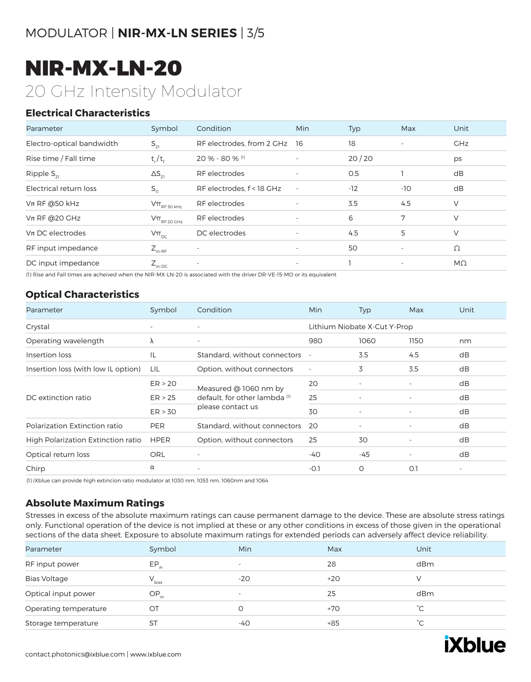# NIR-MX-LN-20 20 GHz Intensity Modulator

### **Electrical Characteristics**

| Parameter                 | Symbol                                                                              | Condition                    | <b>Min</b>               | Typ   | Max                      | Unit       |
|---------------------------|-------------------------------------------------------------------------------------|------------------------------|--------------------------|-------|--------------------------|------------|
| Electro-optical bandwidth | $S_{21}$                                                                            | RF electrodes, from 2 GHz 16 |                          | 18    | $\overline{\phantom{a}}$ | <b>GHz</b> |
| Rise time / Fall time     | $t_r/t_f$                                                                           | 20 % - 80 % (1)              |                          | 20/20 |                          | ps         |
| Ripple $S_{21}$           | $\Delta S_{21}$                                                                     | RF electrodes                | $\overline{\phantom{a}}$ | O.5   |                          | dB         |
| Electrical return loss    | $S_{11}$                                                                            | RF electrodes, f < 18 GHz    | $\overline{\phantom{a}}$ | $-12$ | $-10$                    | dB         |
| $Vπ$ RF @50 kHz           | $\mathsf{V}\pi_{\scriptscriptstyle\mathrm{RF}\,50\,\scriptscriptstyle\mathrm{kHz}}$ | RF electrodes                | $\overline{\phantom{a}}$ | 3.5   | 4.5                      | V          |
| $Vπ$ RF @20 GHz           | $\mathsf{V}\pi_{\scriptscriptstyle\mathrm{RF}\,20\,\mathrm{GHz}}$                   | RF electrodes                | $\overline{\phantom{a}}$ | 6     | 7                        | V          |
| $Vπ$ DC electrodes        | $V\pi_{\text{DC}}$                                                                  | DC electrodes                | $\overline{\phantom{a}}$ | 4.5   | 5                        | V          |
| RF input impedance        | $Z_{\text{in-RF}}$                                                                  | ٠                            | $\overline{\phantom{a}}$ | 50    | $\overline{\phantom{a}}$ | Ω          |
| DC input impedance        | $Z_{\text{in-DC}}$                                                                  | $\overline{\phantom{a}}$     | $\overline{\phantom{a}}$ |       | $\overline{\phantom{a}}$ | $M\Omega$  |

(1) Rise and Fall times are acheived when the NIR-MX-LN-20 is associated with the driver DR-VE-15-MO or its equivalent

### **Optical Characteristics**

| Parameter                           | Symbol                   | Condition                                                                   | Min                      | Typ                          | Max                      | Unit                     |
|-------------------------------------|--------------------------|-----------------------------------------------------------------------------|--------------------------|------------------------------|--------------------------|--------------------------|
| Crystal                             | $\overline{\phantom{a}}$ | ٠                                                                           |                          | Lithium Niobate X-Cut Y-Prop |                          |                          |
| Operating wavelength                | λ                        | $\overline{\phantom{a}}$                                                    | 980                      | 1060                         | 1150                     | nm                       |
| Insertion loss                      | IL                       | Standard, without connectors                                                | $\overline{\phantom{a}}$ | 3.5                          | 4.5                      | dB                       |
| Insertion loss (with low IL option) | LIL                      | Option, without connectors                                                  | $\overline{\phantom{a}}$ | 3                            | 3.5                      | dB                       |
| DC extinction ratio                 | ER > 20                  | Measured @ 1060 nm by<br>default, for other lambda (1)<br>please contact us | 20                       |                              |                          | dB                       |
|                                     | ER > 25                  |                                                                             | 25                       |                              |                          | dB                       |
|                                     | ER > 30                  |                                                                             | 30                       |                              |                          | dB                       |
| Polarization Extinction ratio       | <b>PER</b>               | Standard, without connectors                                                | 20                       |                              | $\overline{\phantom{a}}$ | dB                       |
| High Polarization Extinction ratio  | <b>HPER</b>              | Option, without connectors                                                  | 25                       | 30                           | $\overline{\phantom{a}}$ | dB                       |
| Optical return loss                 | <b>ORL</b>               | $\overline{\phantom{m}}$                                                    | $-40$                    | -45                          | $\overline{\phantom{0}}$ | dB                       |
| Chirp                               | α                        | -                                                                           | $-0.1$                   | O                            | O.1                      | $\overline{\phantom{a}}$ |

(1) iXblue can provide high extincion ratio modulator at 1030 nm, 1053 nm, 1060nm and 1064

### **Absolute Maximum Ratings**

Stresses in excess of the absolute maximum ratings can cause permanent damage to the device. These are absolute stress ratings only. Functional operation of the device is not implied at these or any other conditions in excess of those given in the operational sections of the data sheet. Exposure to absolute maximum ratings for extended periods can adversely affect device reliability.

| Parameter             | Symbol           | Min                      | Max   | Unit         |
|-----------------------|------------------|--------------------------|-------|--------------|
| RF input power        | $EP_{in}$        | $\overline{\phantom{0}}$ | 28    | dBm          |
| <b>Bias Voltage</b>   | $V_{bias}$       | $-20$                    | $+20$ |              |
| Optical input power   | $OP_{\text{in}}$ | $\overline{\phantom{a}}$ | 25    | dBm          |
| Operating temperature | OT               | O                        | $+70$ | $^{\circ}$ C |
| Storage temperature   | <b>ST</b>        | -40                      | $+85$ | °С           |
|                       |                  |                          |       |              |

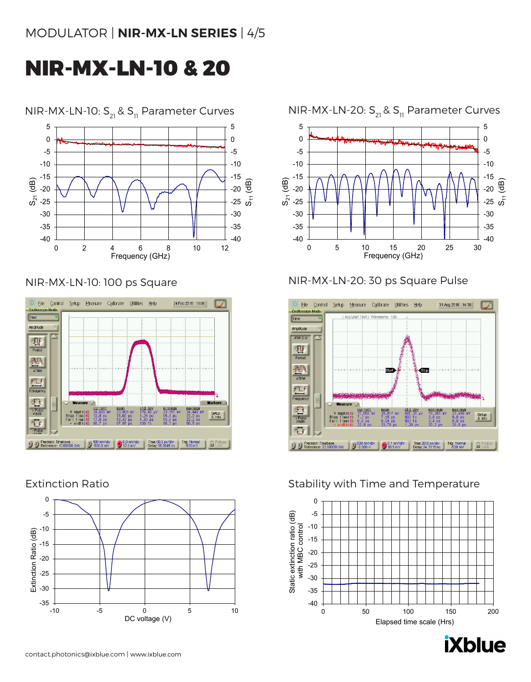# NIR-MX-LN-10 & 20



NIR-MX-LN-10:  $S_{21}$  &  $S_{11}$  Parameter Curves NIR-MX-LN-20:  $S_{21}$  &  $S_{11}$  Parameter Curves

### NIR-MX-LN-10: 100 ps Square



# Extinction Ratio





# NIR-MX-LN-20: 30 ps Square Pulse



# Stability with Time and Temperature



**iXblue**